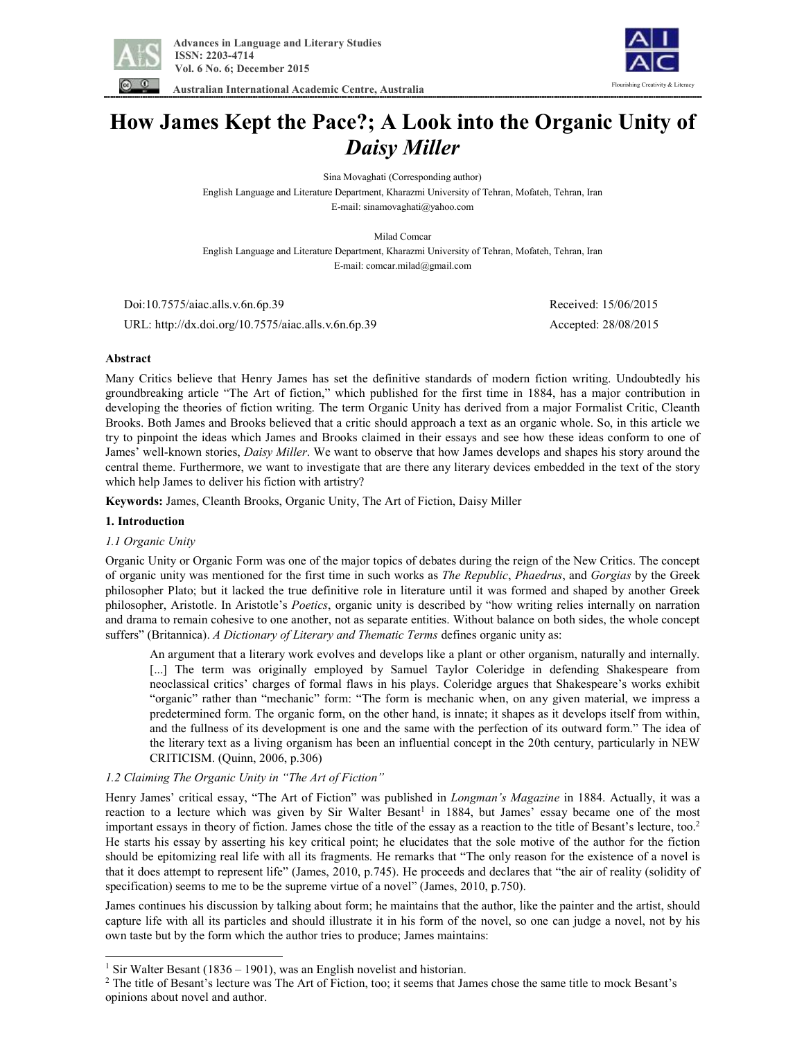



 **Australian International Academic Centre, Australia** 

# **How James Kept the Pace?; A Look into the Organic Unity of**  *Daisy Miller*

Sina Movaghati (Corresponding author) English Language and Literature Department, Kharazmi University of Tehran, Mofateh, Tehran, Iran E-mail: sinamovaghati@yahoo.com

Milad Comcar English Language and Literature Department, Kharazmi University of Tehran, Mofateh, Tehran, Iran E-mail: comcar.milad@gmail.com

Doi:10.7575/aiac.alls.v.6n.6p.39 Received: 15/06/2015

URL: http://dx.doi.org/10.7575/aiac.alls.v.6n.6p.39 Accepted: 28/08/2015

## **Abstract**

Many Critics believe that Henry James has set the definitive standards of modern fiction writing. Undoubtedly his groundbreaking article "The Art of fiction," which published for the first time in 1884, has a major contribution in developing the theories of fiction writing. The term Organic Unity has derived from a major Formalist Critic, Cleanth Brooks. Both James and Brooks believed that a critic should approach a text as an organic whole. So, in this article we try to pinpoint the ideas which James and Brooks claimed in their essays and see how these ideas conform to one of James' well-known stories, *Daisy Miller*. We want to observe that how James develops and shapes his story around the central theme. Furthermore, we want to investigate that are there any literary devices embedded in the text of the story which help James to deliver his fiction with artistry?

**Keywords:** James, Cleanth Brooks, Organic Unity, The Art of Fiction, Daisy Miller

## **1. Introduction**

 $\overline{a}$ 

## *1.1 Organic Unity*

Organic Unity or Organic Form was one of the major topics of debates during the reign of the New Critics. The concept of organic unity was mentioned for the first time in such works as *The Republic*, *Phaedrus*, and *Gorgias* by the Greek philosopher Plato; but it lacked the true definitive role in literature until it was formed and shaped by another Greek philosopher, Aristotle. In Aristotle's *Poetics*, organic unity is described by "how writing relies internally on narration and drama to remain cohesive to one another, not as separate entities. Without balance on both sides, the whole concept suffers" (Britannica). *A Dictionary of Literary and Thematic Terms* defines organic unity as:

An argument that a literary work evolves and develops like a plant or other organism, naturally and internally. [...] The term was originally employed by Samuel Taylor Coleridge in defending Shakespeare from neoclassical critics' charges of formal flaws in his plays. Coleridge argues that Shakespeare's works exhibit "organic" rather than "mechanic" form: "The form is mechanic when, on any given material, we impress a predetermined form. The organic form, on the other hand, is innate; it shapes as it develops itself from within, and the fullness of its development is one and the same with the perfection of its outward form." The idea of the literary text as a living organism has been an influential concept in the 20th century, particularly in NEW CRITICISM. (Quinn, 2006, p.306)

## *1.2 Claiming The Organic Unity in "The Art of Fiction"*

Henry James' critical essay, "The Art of Fiction" was published in *Longman's Magazine* in 1884. Actually, it was a reaction to a lecture which was given by Sir Walter Besant<sup>1</sup> in 1884, but James' essay became one of the most important essays in theory of fiction. James chose the title of the essay as a reaction to the title of Besant's lecture, too.<sup>2</sup> He starts his essay by asserting his key critical point; he elucidates that the sole motive of the author for the fiction should be epitomizing real life with all its fragments. He remarks that "The only reason for the existence of a novel is that it does attempt to represent life" (James, 2010, p.745). He proceeds and declares that "the air of reality (solidity of specification) seems to me to be the supreme virtue of a novel" (James, 2010, p.750).

James continues his discussion by talking about form; he maintains that the author, like the painter and the artist, should capture life with all its particles and should illustrate it in his form of the novel, so one can judge a novel, not by his own taste but by the form which the author tries to produce; James maintains:

<sup>&</sup>lt;sup>1</sup> Sir Walter Besant (1836 – 1901), was an English novelist and historian.

<sup>&</sup>lt;sup>2</sup> The title of Besant's lecture was The Art of Fiction, too; it seems that James chose the same title to mock Besant's opinions about novel and author.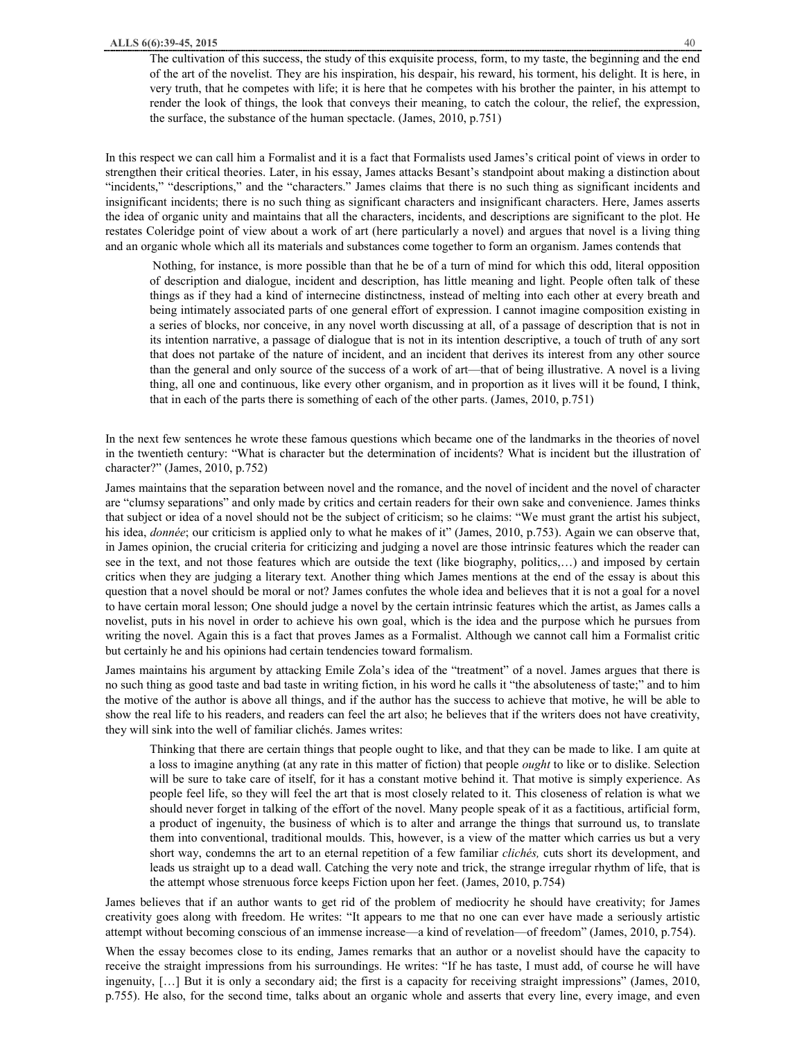The cultivation of this success, the study of this exquisite process, form, to my taste, the beginning and the end of the art of the novelist. They are his inspiration, his despair, his reward, his torment, his delight. It is here, in very truth, that he competes with life; it is here that he competes with his brother the painter, in his attempt to render the look of things, the look that conveys their meaning, to catch the colour, the relief, the expression, the surface, the substance of the human spectacle. (James, 2010, p.751)

In this respect we can call him a Formalist and it is a fact that Formalists used James's critical point of views in order to strengthen their critical theories. Later, in his essay, James attacks Besant's standpoint about making a distinction about "incidents," "descriptions," and the "characters." James claims that there is no such thing as significant incidents and insignificant incidents; there is no such thing as significant characters and insignificant characters. Here, James asserts the idea of organic unity and maintains that all the characters, incidents, and descriptions are significant to the plot. He restates Coleridge point of view about a work of art (here particularly a novel) and argues that novel is a living thing and an organic whole which all its materials and substances come together to form an organism. James contends that

Nothing, for instance, is more possible than that he be of a turn of mind for which this odd, literal opposition of description and dialogue, incident and description, has little meaning and light. People often talk of these things as if they had a kind of internecine distinctness, instead of melting into each other at every breath and being intimately associated parts of one general effort of expression. I cannot imagine composition existing in a series of blocks, nor conceive, in any novel worth discussing at all, of a passage of description that is not in its intention narrative, a passage of dialogue that is not in its intention descriptive, a touch of truth of any sort that does not partake of the nature of incident, and an incident that derives its interest from any other source than the general and only source of the success of a work of art—that of being illustrative. A novel is a living thing, all one and continuous, like every other organism, and in proportion as it lives will it be found, I think, that in each of the parts there is something of each of the other parts. (James, 2010, p.751)

In the next few sentences he wrote these famous questions which became one of the landmarks in the theories of novel in the twentieth century: "What is character but the determination of incidents? What is incident but the illustration of character?" (James, 2010, p.752)

James maintains that the separation between novel and the romance, and the novel of incident and the novel of character are "clumsy separations" and only made by critics and certain readers for their own sake and convenience. James thinks that subject or idea of a novel should not be the subject of criticism; so he claims: "We must grant the artist his subject, his idea, *donnée*; our criticism is applied only to what he makes of it" (James, 2010, p.753). Again we can observe that, in James opinion, the crucial criteria for criticizing and judging a novel are those intrinsic features which the reader can see in the text, and not those features which are outside the text (like biography, politics,…) and imposed by certain critics when they are judging a literary text. Another thing which James mentions at the end of the essay is about this question that a novel should be moral or not? James confutes the whole idea and believes that it is not a goal for a novel to have certain moral lesson; One should judge a novel by the certain intrinsic features which the artist, as James calls a novelist, puts in his novel in order to achieve his own goal, which is the idea and the purpose which he pursues from writing the novel. Again this is a fact that proves James as a Formalist. Although we cannot call him a Formalist critic but certainly he and his opinions had certain tendencies toward formalism.

James maintains his argument by attacking Emile Zola's idea of the "treatment" of a novel. James argues that there is no such thing as good taste and bad taste in writing fiction, in his word he calls it "the absoluteness of taste;" and to him the motive of the author is above all things, and if the author has the success to achieve that motive, he will be able to show the real life to his readers, and readers can feel the art also; he believes that if the writers does not have creativity, they will sink into the well of familiar clichés. James writes:

Thinking that there are certain things that people ought to like, and that they can be made to like. I am quite at a loss to imagine anything (at any rate in this matter of fiction) that people *ought* to like or to dislike. Selection will be sure to take care of itself, for it has a constant motive behind it. That motive is simply experience. As people feel life, so they will feel the art that is most closely related to it. This closeness of relation is what we should never forget in talking of the effort of the novel. Many people speak of it as a factitious, artificial form, a product of ingenuity, the business of which is to alter and arrange the things that surround us, to translate them into conventional, traditional moulds. This, however, is a view of the matter which carries us but a very short way, condemns the art to an eternal repetition of a few familiar *clichés,* cuts short its development, and leads us straight up to a dead wall. Catching the very note and trick, the strange irregular rhythm of life, that is the attempt whose strenuous force keeps Fiction upon her feet. (James, 2010, p.754)

James believes that if an author wants to get rid of the problem of mediocrity he should have creativity; for James creativity goes along with freedom. He writes: "It appears to me that no one can ever have made a seriously artistic attempt without becoming conscious of an immense increase—a kind of revelation—of freedom" (James, 2010, p.754).

When the essay becomes close to its ending, James remarks that an author or a novelist should have the capacity to receive the straight impressions from his surroundings. He writes: "If he has taste, I must add, of course he will have ingenuity, […] But it is only a secondary aid; the first is a capacity for receiving straight impressions" (James, 2010, p.755). He also, for the second time, talks about an organic whole and asserts that every line, every image, and even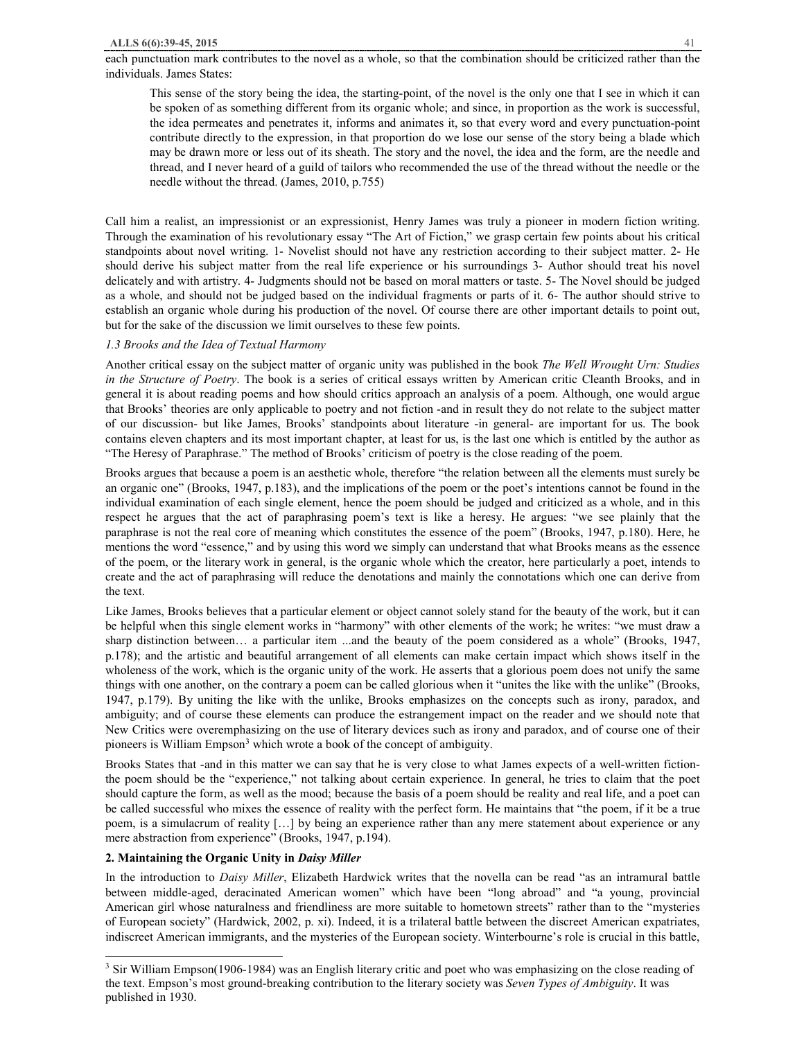each punctuation mark contributes to the novel as a whole, so that the combination should be criticized rather than the individuals. James States:

This sense of the story being the idea, the starting-point, of the novel is the only one that I see in which it can be spoken of as something different from its organic whole; and since, in proportion as the work is successful, the idea permeates and penetrates it, informs and animates it, so that every word and every punctuation-point contribute directly to the expression, in that proportion do we lose our sense of the story being a blade which may be drawn more or less out of its sheath. The story and the novel, the idea and the form, are the needle and thread, and I never heard of a guild of tailors who recommended the use of the thread without the needle or the needle without the thread. (James, 2010, p.755)

Call him a realist, an impressionist or an expressionist, Henry James was truly a pioneer in modern fiction writing. Through the examination of his revolutionary essay "The Art of Fiction," we grasp certain few points about his critical standpoints about novel writing. 1- Novelist should not have any restriction according to their subject matter. 2- He should derive his subject matter from the real life experience or his surroundings 3- Author should treat his novel delicately and with artistry. 4- Judgments should not be based on moral matters or taste. 5- The Novel should be judged as a whole, and should not be judged based on the individual fragments or parts of it. 6- The author should strive to establish an organic whole during his production of the novel. Of course there are other important details to point out, but for the sake of the discussion we limit ourselves to these few points.

#### *1.3 Brooks and the Idea of Textual Harmony*

Another critical essay on the subject matter of organic unity was published in the book *The Well Wrought Urn: Studies in the Structure of Poetry*. The book is a series of critical essays written by American critic Cleanth Brooks, and in general it is about reading poems and how should critics approach an analysis of a poem. Although, one would argue that Brooks' theories are only applicable to poetry and not fiction -and in result they do not relate to the subject matter of our discussion- but like James, Brooks' standpoints about literature -in general- are important for us. The book contains eleven chapters and its most important chapter, at least for us, is the last one which is entitled by the author as "The Heresy of Paraphrase." The method of Brooks' criticism of poetry is the close reading of the poem.

Brooks argues that because a poem is an aesthetic whole, therefore "the relation between all the elements must surely be an organic one" (Brooks, 1947, p.183), and the implications of the poem or the poet's intentions cannot be found in the individual examination of each single element, hence the poem should be judged and criticized as a whole, and in this respect he argues that the act of paraphrasing poem's text is like a heresy. He argues: "we see plainly that the paraphrase is not the real core of meaning which constitutes the essence of the poem" (Brooks, 1947, p.180). Here, he mentions the word "essence," and by using this word we simply can understand that what Brooks means as the essence of the poem, or the literary work in general, is the organic whole which the creator, here particularly a poet, intends to create and the act of paraphrasing will reduce the denotations and mainly the connotations which one can derive from the text.

Like James, Brooks believes that a particular element or object cannot solely stand for the beauty of the work, but it can be helpful when this single element works in "harmony" with other elements of the work; he writes: "we must draw a sharp distinction between… a particular item ...and the beauty of the poem considered as a whole" (Brooks, 1947, p.178); and the artistic and beautiful arrangement of all elements can make certain impact which shows itself in the wholeness of the work, which is the organic unity of the work. He asserts that a glorious poem does not unify the same things with one another, on the contrary a poem can be called glorious when it "unites the like with the unlike" (Brooks, 1947, p.179). By uniting the like with the unlike, Brooks emphasizes on the concepts such as irony, paradox, and ambiguity; and of course these elements can produce the estrangement impact on the reader and we should note that New Critics were overemphasizing on the use of literary devices such as irony and paradox, and of course one of their pioneers is William Empson<sup>3</sup> which wrote a book of the concept of ambiguity.

Brooks States that -and in this matter we can say that he is very close to what James expects of a well-written fictionthe poem should be the "experience," not talking about certain experience. In general, he tries to claim that the poet should capture the form, as well as the mood; because the basis of a poem should be reality and real life, and a poet can be called successful who mixes the essence of reality with the perfect form. He maintains that "the poem, if it be a true poem, is a simulacrum of reality […] by being an experience rather than any mere statement about experience or any mere abstraction from experience" (Brooks, 1947, p.194).

#### **2. Maintaining the Organic Unity in** *Daisy Miller*

 $\overline{a}$ 

In the introduction to *Daisy Miller*, Elizabeth Hardwick writes that the novella can be read "as an intramural battle between middle-aged, deracinated American women" which have been "long abroad" and "a young, provincial American girl whose naturalness and friendliness are more suitable to hometown streets" rather than to the "mysteries of European society" (Hardwick, 2002, p. xi). Indeed, it is a trilateral battle between the discreet American expatriates, indiscreet American immigrants, and the mysteries of the European society. Winterbourne's role is crucial in this battle,

<sup>3</sup> Sir William Empson(1906-1984) was an English literary critic and poet who was emphasizing on the close reading of the text. Empson's most ground-breaking contribution to the literary society was *Seven Types of Ambiguity*. It was published in 1930.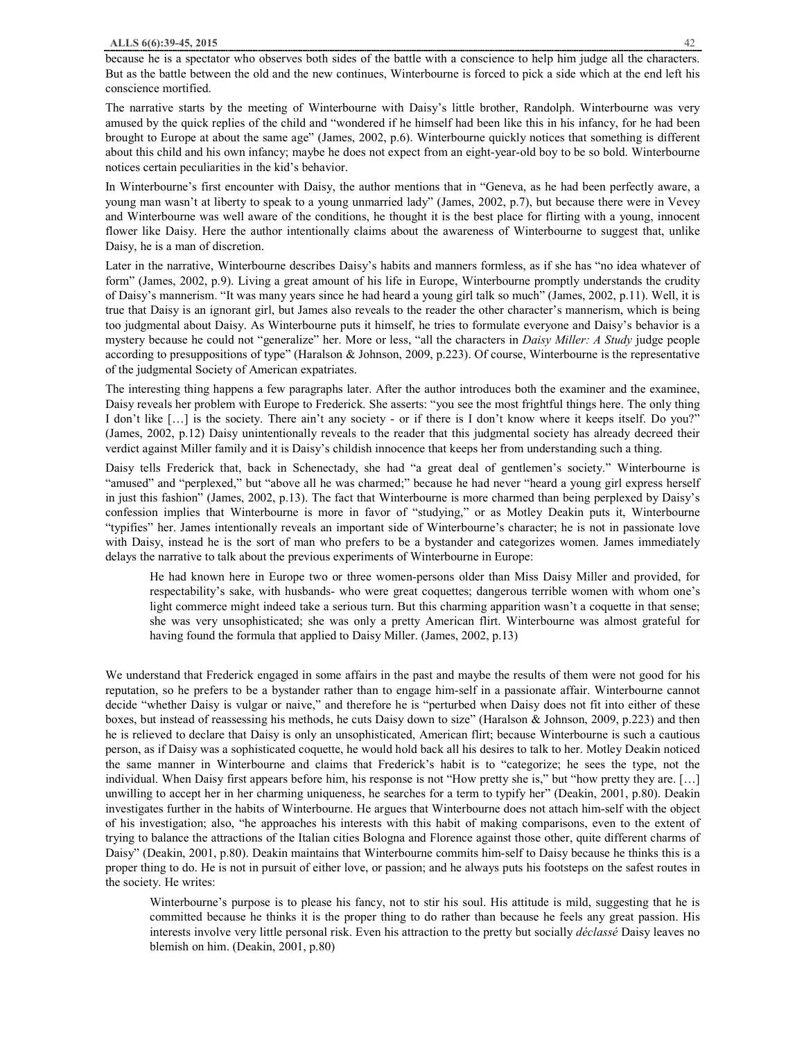The narrative starts by the meeting of Winterbourne with Daisy's little brother, Randolph. Winterbourne was very amused by the quick replies of the child and "wondered if he himself had been like this in his infancy, for he had been brought to Europe at about the same age" (James, 2002, p.6). Winterbourne quickly notices that something is different about this child and his own infancy; maybe he does not expect from an eight-year-old boy to be so bold. Winterbourne notices certain peculiarities in the kid's behavior.

In Winterbourne's first encounter with Daisy, the author mentions that in "Geneva, as he had been perfectly aware, a young man wasn't at liberty to speak to a young unmarried lady" (James, 2002, p.7), but because there were in Vevey and Winterbourne was well aware of the conditions, he thought it is the best place for flirting with a young, innocent flower like Daisy. Here the author intentionally claims about the awareness of Winterbourne to suggest that, unlike Daisy, he is a man of discretion.

Later in the narrative, Winterbourne describes Daisy's habits and manners formless, as if she has "no idea whatever of form" (James, 2002, p.9). Living a great amount of his life in Europe, Winterbourne promptly understands the crudity of Daisy's mannerism. "It was many years since he had heard a young girl talk so much" (James, 2002, p.11). Well, it is true that Daisy is an ignorant girl, but James also reveals to the reader the other character's mannerism, which is being too judgmental about Daisy. As Winterbourne puts it himself, he tries to formulate everyone and Daisy's behavior is a mystery because he could not "generalize" her. More or less, "all the characters in *Daisy Miller: A Study* judge people according to presuppositions of type" (Haralson & Johnson, 2009, p.223). Of course, Winterbourne is the representative of the judgmental Society of American expatriates.

The interesting thing happens a few paragraphs later. After the author introduces both the examiner and the examinee, Daisy reveals her problem with Europe to Frederick. She asserts: "you see the most frightful things here. The only thing I don't like […] is the society. There ain't any society - or if there is I don't know where it keeps itself. Do you?" (James, 2002, p.12) Daisy unintentionally reveals to the reader that this judgmental society has already decreed their verdict against Miller family and it is Daisy's childish innocence that keeps her from understanding such a thing.

Daisy tells Frederick that, back in Schenectady, she had "a great deal of gentlemen's society." Winterbourne is "amused" and "perplexed," but "above all he was charmed;" because he had never "heard a young girl express herself in just this fashion" (James, 2002, p.13). The fact that Winterbourne is more charmed than being perplexed by Daisy's confession implies that Winterbourne is more in favor of "studying," or as Motley Deakin puts it, Winterbourne "typifies" her. James intentionally reveals an important side of Winterbourne's character; he is not in passionate love with Daisy, instead he is the sort of man who prefers to be a bystander and categorizes women. James immediately delays the narrative to talk about the previous experiments of Winterbourne in Europe:

He had known here in Europe two or three women-persons older than Miss Daisy Miller and provided, for respectability's sake, with husbands- who were great coquettes; dangerous terrible women with whom one's light commerce might indeed take a serious turn. But this charming apparition wasn't a coquette in that sense; she was very unsophisticated; she was only a pretty American flirt. Winterbourne was almost grateful for having found the formula that applied to Daisy Miller. (James, 2002, p.13)

We understand that Frederick engaged in some affairs in the past and maybe the results of them were not good for his reputation, so he prefers to be a bystander rather than to engage him-self in a passionate affair. Winterbourne cannot decide "whether Daisy is vulgar or naive," and therefore he is "perturbed when Daisy does not fit into either of these boxes, but instead of reassessing his methods, he cuts Daisy down to size" (Haralson & Johnson, 2009, p.223) and then he is relieved to declare that Daisy is only an unsophisticated, American flirt; because Winterbourne is such a cautious person, as if Daisy was a sophisticated coquette, he would hold back all his desires to talk to her. Motley Deakin noticed the same manner in Winterbourne and claims that Frederick's habit is to "categorize; he sees the type, not the individual. When Daisy first appears before him, his response is not "How pretty she is," but "how pretty they are. […] unwilling to accept her in her charming uniqueness, he searches for a term to typify her" (Deakin, 2001, p.80). Deakin investigates further in the habits of Winterbourne. He argues that Winterbourne does not attach him-self with the object of his investigation; also, "he approaches his interests with this habit of making comparisons, even to the extent of trying to balance the attractions of the Italian cities Bologna and Florence against those other, quite different charms of Daisy" (Deakin, 2001, p.80). Deakin maintains that Winterbourne commits him-self to Daisy because he thinks this is a proper thing to do. He is not in pursuit of either love, or passion; and he always puts his footsteps on the safest routes in the society. He writes:

Winterbourne's purpose is to please his fancy, not to stir his soul. His attitude is mild, suggesting that he is committed because he thinks it is the proper thing to do rather than because he feels any great passion. His interests involve very little personal risk. Even his attraction to the pretty but socially *déclassé* Daisy leaves no blemish on him. (Deakin, 2001, p.80)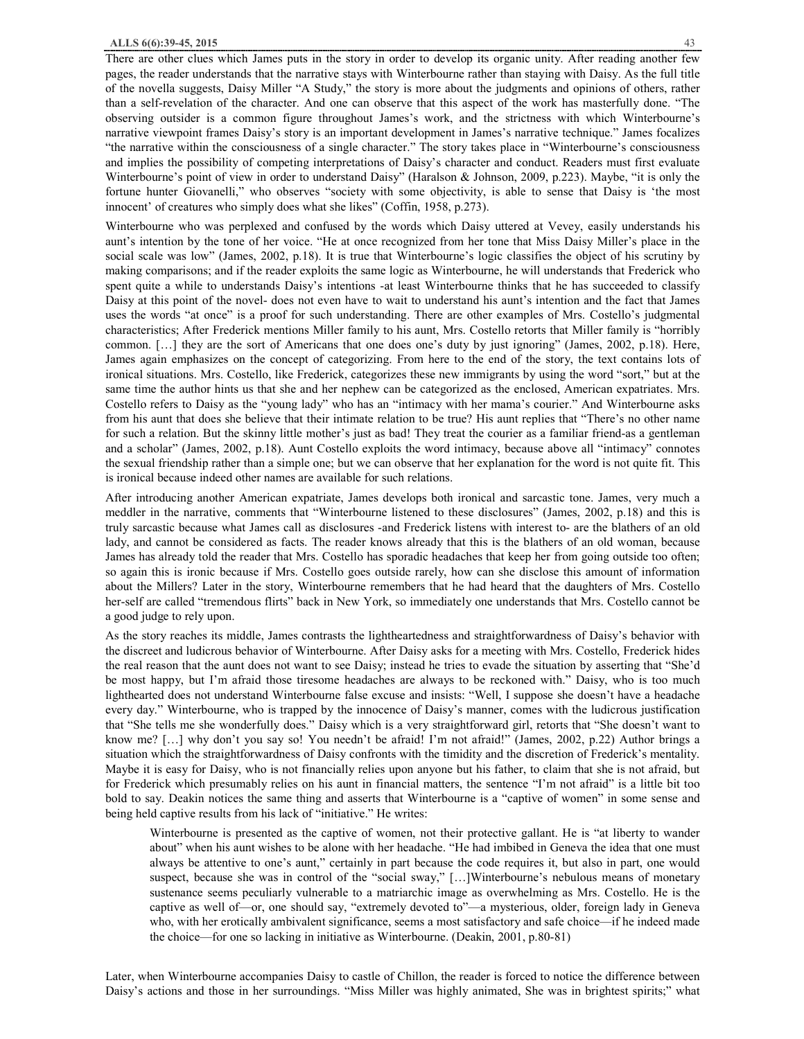There are other clues which James puts in the story in order to develop its organic unity. After reading another few pages, the reader understands that the narrative stays with Winterbourne rather than staying with Daisy. As the full title of the novella suggests, Daisy Miller "A Study," the story is more about the judgments and opinions of others, rather than a self-revelation of the character. And one can observe that this aspect of the work has masterfully done. "The observing outsider is a common figure throughout James's work, and the strictness with which Winterbourne's narrative viewpoint frames Daisy's story is an important development in James's narrative technique." James focalizes "the narrative within the consciousness of a single character." The story takes place in "Winterbourne's consciousness and implies the possibility of competing interpretations of Daisy's character and conduct. Readers must first evaluate Winterbourne's point of view in order to understand Daisy" (Haralson & Johnson, 2009, p.223). Maybe, "it is only the fortune hunter Giovanelli," who observes "society with some objectivity, is able to sense that Daisy is 'the most innocent' of creatures who simply does what she likes" (Coffin, 1958, p.273).

Winterbourne who was perplexed and confused by the words which Daisy uttered at Vevey, easily understands his aunt's intention by the tone of her voice. "He at once recognized from her tone that Miss Daisy Miller's place in the social scale was low" (James, 2002, p.18). It is true that Winterbourne's logic classifies the object of his scrutiny by making comparisons; and if the reader exploits the same logic as Winterbourne, he will understands that Frederick who spent quite a while to understands Daisy's intentions -at least Winterbourne thinks that he has succeeded to classify Daisy at this point of the novel- does not even have to wait to understand his aunt's intention and the fact that James uses the words "at once" is a proof for such understanding. There are other examples of Mrs. Costello's judgmental characteristics; After Frederick mentions Miller family to his aunt, Mrs. Costello retorts that Miller family is "horribly common. […] they are the sort of Americans that one does one's duty by just ignoring" (James, 2002, p.18). Here, James again emphasizes on the concept of categorizing. From here to the end of the story, the text contains lots of ironical situations. Mrs. Costello, like Frederick, categorizes these new immigrants by using the word "sort," but at the same time the author hints us that she and her nephew can be categorized as the enclosed, American expatriates. Mrs. Costello refers to Daisy as the "young lady" who has an "intimacy with her mama's courier." And Winterbourne asks from his aunt that does she believe that their intimate relation to be true? His aunt replies that "There's no other name for such a relation. But the skinny little mother's just as bad! They treat the courier as a familiar friend-as a gentleman and a scholar" (James, 2002, p.18). Aunt Costello exploits the word intimacy, because above all "intimacy" connotes the sexual friendship rather than a simple one; but we can observe that her explanation for the word is not quite fit. This is ironical because indeed other names are available for such relations.

After introducing another American expatriate, James develops both ironical and sarcastic tone. James, very much a meddler in the narrative, comments that "Winterbourne listened to these disclosures" (James, 2002, p.18) and this is truly sarcastic because what James call as disclosures -and Frederick listens with interest to- are the blathers of an old lady, and cannot be considered as facts. The reader knows already that this is the blathers of an old woman, because James has already told the reader that Mrs. Costello has sporadic headaches that keep her from going outside too often; so again this is ironic because if Mrs. Costello goes outside rarely, how can she disclose this amount of information about the Millers? Later in the story, Winterbourne remembers that he had heard that the daughters of Mrs. Costello her-self are called "tremendous flirts" back in New York, so immediately one understands that Mrs. Costello cannot be a good judge to rely upon.

As the story reaches its middle, James contrasts the lightheartedness and straightforwardness of Daisy's behavior with the discreet and ludicrous behavior of Winterbourne. After Daisy asks for a meeting with Mrs. Costello, Frederick hides the real reason that the aunt does not want to see Daisy; instead he tries to evade the situation by asserting that "She'd be most happy, but I'm afraid those tiresome headaches are always to be reckoned with." Daisy, who is too much lighthearted does not understand Winterbourne false excuse and insists: "Well, I suppose she doesn't have a headache every day." Winterbourne, who is trapped by the innocence of Daisy's manner, comes with the ludicrous justification that "She tells me she wonderfully does." Daisy which is a very straightforward girl, retorts that "She doesn't want to know me? […] why don't you say so! You needn't be afraid! I'm not afraid!" (James, 2002, p.22) Author brings a situation which the straightforwardness of Daisy confronts with the timidity and the discretion of Frederick's mentality. Maybe it is easy for Daisy, who is not financially relies upon anyone but his father, to claim that she is not afraid, but for Frederick which presumably relies on his aunt in financial matters, the sentence "I'm not afraid" is a little bit too bold to say. Deakin notices the same thing and asserts that Winterbourne is a "captive of women" in some sense and being held captive results from his lack of "initiative." He writes:

Winterbourne is presented as the captive of women, not their protective gallant. He is "at liberty to wander about" when his aunt wishes to be alone with her headache. "He had imbibed in Geneva the idea that one must always be attentive to one's aunt," certainly in part because the code requires it, but also in part, one would suspect, because she was in control of the "social sway," […]Winterbourne's nebulous means of monetary sustenance seems peculiarly vulnerable to a matriarchic image as overwhelming as Mrs. Costello. He is the captive as well of—or, one should say, "extremely devoted to"—a mysterious, older, foreign lady in Geneva who, with her erotically ambivalent significance, seems a most satisfactory and safe choice—if he indeed made the choice—for one so lacking in initiative as Winterbourne. (Deakin, 2001, p.80-81)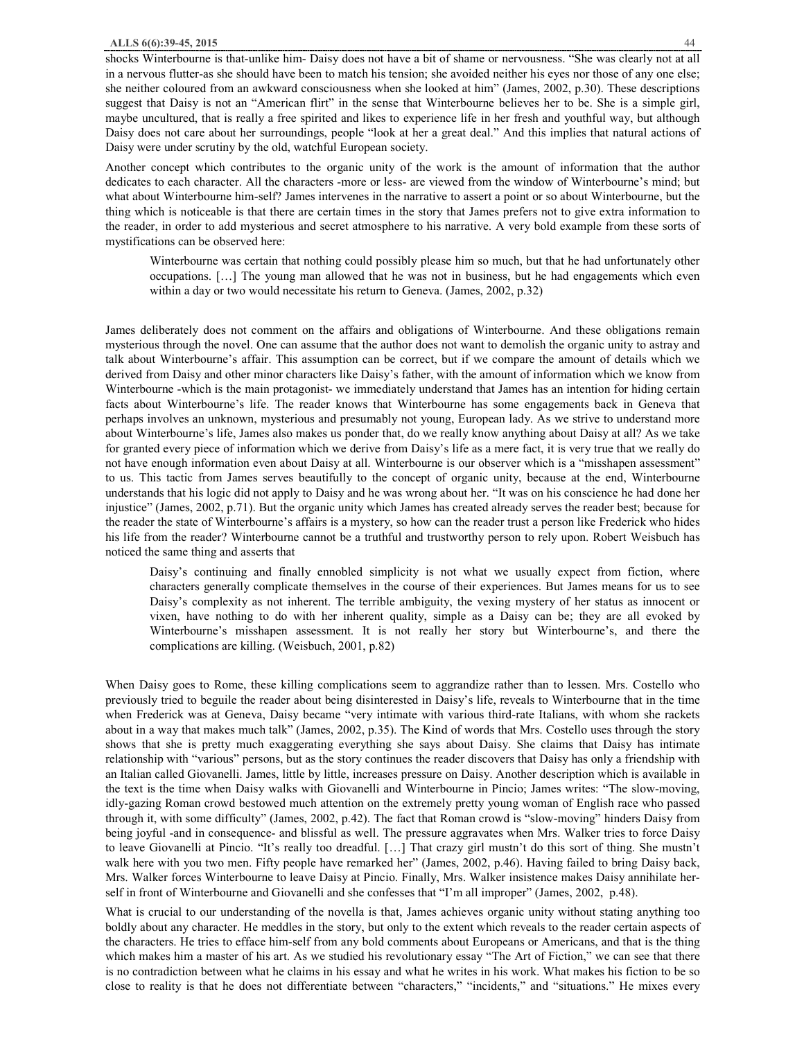shocks Winterbourne is that-unlike him- Daisy does not have a bit of shame or nervousness. "She was clearly not at all in a nervous flutter-as she should have been to match his tension; she avoided neither his eyes nor those of any one else; she neither coloured from an awkward consciousness when she looked at him" (James, 2002, p.30). These descriptions suggest that Daisy is not an "American flirt" in the sense that Winterbourne believes her to be. She is a simple girl, maybe uncultured, that is really a free spirited and likes to experience life in her fresh and youthful way, but although Daisy does not care about her surroundings, people "look at her a great deal." And this implies that natural actions of Daisy were under scrutiny by the old, watchful European society.

Another concept which contributes to the organic unity of the work is the amount of information that the author dedicates to each character. All the characters -more or less- are viewed from the window of Winterbourne's mind; but what about Winterbourne him-self? James intervenes in the narrative to assert a point or so about Winterbourne, but the thing which is noticeable is that there are certain times in the story that James prefers not to give extra information to the reader, in order to add mysterious and secret atmosphere to his narrative. A very bold example from these sorts of mystifications can be observed here:

Winterbourne was certain that nothing could possibly please him so much, but that he had unfortunately other occupations. […] The young man allowed that he was not in business, but he had engagements which even within a day or two would necessitate his return to Geneva. (James, 2002, p.32)

James deliberately does not comment on the affairs and obligations of Winterbourne. And these obligations remain mysterious through the novel. One can assume that the author does not want to demolish the organic unity to astray and talk about Winterbourne's affair. This assumption can be correct, but if we compare the amount of details which we derived from Daisy and other minor characters like Daisy's father, with the amount of information which we know from Winterbourne -which is the main protagonist- we immediately understand that James has an intention for hiding certain facts about Winterbourne's life. The reader knows that Winterbourne has some engagements back in Geneva that perhaps involves an unknown, mysterious and presumably not young, European lady. As we strive to understand more about Winterbourne's life, James also makes us ponder that, do we really know anything about Daisy at all? As we take for granted every piece of information which we derive from Daisy's life as a mere fact, it is very true that we really do not have enough information even about Daisy at all. Winterbourne is our observer which is a "misshapen assessment" to us. This tactic from James serves beautifully to the concept of organic unity, because at the end, Winterbourne understands that his logic did not apply to Daisy and he was wrong about her. "It was on his conscience he had done her injustice" (James, 2002, p.71). But the organic unity which James has created already serves the reader best; because for the reader the state of Winterbourne's affairs is a mystery, so how can the reader trust a person like Frederick who hides his life from the reader? Winterbourne cannot be a truthful and trustworthy person to rely upon. Robert Weisbuch has noticed the same thing and asserts that

Daisy's continuing and finally ennobled simplicity is not what we usually expect from fiction, where characters generally complicate themselves in the course of their experiences. But James means for us to see Daisy's complexity as not inherent. The terrible ambiguity, the vexing mystery of her status as innocent or vixen, have nothing to do with her inherent quality, simple as a Daisy can be; they are all evoked by Winterbourne's misshapen assessment. It is not really her story but Winterbourne's, and there the complications are killing. (Weisbuch, 2001, p.82)

When Daisy goes to Rome, these killing complications seem to aggrandize rather than to lessen. Mrs. Costello who previously tried to beguile the reader about being disinterested in Daisy's life, reveals to Winterbourne that in the time when Frederick was at Geneva, Daisy became "very intimate with various third-rate Italians, with whom she rackets about in a way that makes much talk" (James, 2002, p.35). The Kind of words that Mrs. Costello uses through the story shows that she is pretty much exaggerating everything she says about Daisy. She claims that Daisy has intimate relationship with "various" persons, but as the story continues the reader discovers that Daisy has only a friendship with an Italian called Giovanelli. James, little by little, increases pressure on Daisy. Another description which is available in the text is the time when Daisy walks with Giovanelli and Winterbourne in Pincio; James writes: "The slow-moving, idly-gazing Roman crowd bestowed much attention on the extremely pretty young woman of English race who passed through it, with some difficulty" (James, 2002, p.42). The fact that Roman crowd is "slow-moving" hinders Daisy from being joyful -and in consequence- and blissful as well. The pressure aggravates when Mrs. Walker tries to force Daisy to leave Giovanelli at Pincio. "It's really too dreadful. […] That crazy girl mustn't do this sort of thing. She mustn't walk here with you two men. Fifty people have remarked her" (James, 2002, p.46). Having failed to bring Daisy back, Mrs. Walker forces Winterbourne to leave Daisy at Pincio. Finally, Mrs. Walker insistence makes Daisy annihilate herself in front of Winterbourne and Giovanelli and she confesses that "I'm all improper" (James, 2002, p.48).

What is crucial to our understanding of the novella is that, James achieves organic unity without stating anything too boldly about any character. He meddles in the story, but only to the extent which reveals to the reader certain aspects of the characters. He tries to efface him-self from any bold comments about Europeans or Americans, and that is the thing which makes him a master of his art. As we studied his revolutionary essay "The Art of Fiction," we can see that there is no contradiction between what he claims in his essay and what he writes in his work. What makes his fiction to be so close to reality is that he does not differentiate between "characters," "incidents," and "situations." He mixes every